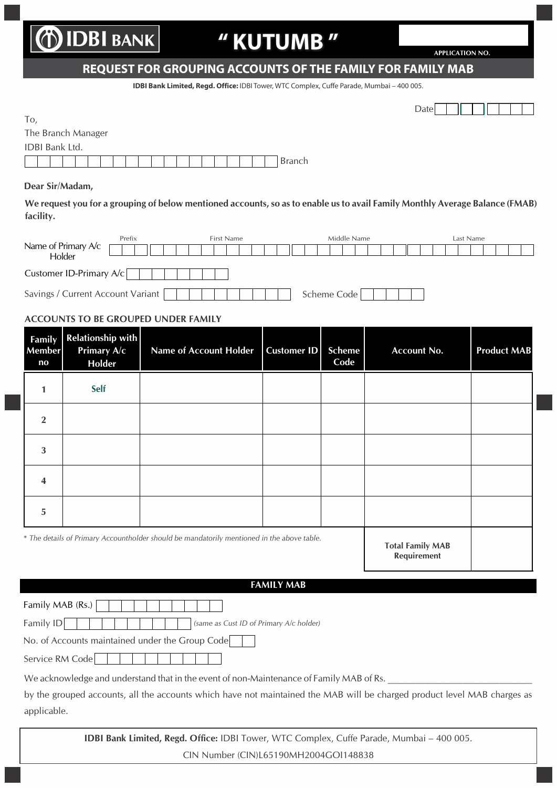# **DIDBI BANK**

## **" KUTUMB "**

**APPLICATION NO.** 

### **REQUEST FOR GROUPING ACCOUNTS OF THE FAMILY FOR FAMILY MAB**

**IDBI Bank Limited, Regd. Office:** IDBI Tower, WTC Complex, Cuffe Parade, Mumbai – 400 005.

| члате. |  |  |
|--------|--|--|

|  | -<br>. .<br>× | $\mathcal{L}$<br>۰<br>×.<br>٧<br>I<br>×<br>۰. |  |
|--|---------------|-----------------------------------------------|--|
|--|---------------|-----------------------------------------------|--|

| The Branch Manager    |  |  |  |  |  |  |  |  |  |        |
|-----------------------|--|--|--|--|--|--|--|--|--|--------|
| <b>IDBI Bank Ltd.</b> |  |  |  |  |  |  |  |  |  |        |
|                       |  |  |  |  |  |  |  |  |  | Branch |

#### **Dear Sir/Madam,**

**We request you for a grouping of below mentioned accounts, so as to enable us to avail Family Monthly Average Balance (FMAB) facility.**

|                                   | Prefix |  | First Name |  |  |  |  |  |  | Middle Name |  |  |             |  |  |  |  | Last Name |  |  |  |  |  |  |  |  |  |  |
|-----------------------------------|--------|--|------------|--|--|--|--|--|--|-------------|--|--|-------------|--|--|--|--|-----------|--|--|--|--|--|--|--|--|--|--|
| Name of Primary A/c<br>Holder     |        |  |            |  |  |  |  |  |  |             |  |  |             |  |  |  |  |           |  |  |  |  |  |  |  |  |  |  |
|                                   |        |  |            |  |  |  |  |  |  |             |  |  |             |  |  |  |  |           |  |  |  |  |  |  |  |  |  |  |
| Customer ID-Primary A/c           |        |  |            |  |  |  |  |  |  |             |  |  |             |  |  |  |  |           |  |  |  |  |  |  |  |  |  |  |
| Savings / Current Account Variant |        |  |            |  |  |  |  |  |  |             |  |  | Scheme Code |  |  |  |  |           |  |  |  |  |  |  |  |  |  |  |

#### **ACCOUNTS TO BE GROUPED UNDER FAMILY**

| Family<br><b>Member</b><br>$\mathbf{no}$ | <b>Relationship with</b><br><b>Primary A/c</b><br>Holder | <b>Name of Account Holder</b>                                                              | <b>Customer ID</b> | <b>Scheme</b><br>Code | <b>Account No.</b>                     | <b>Product MAB</b> |
|------------------------------------------|----------------------------------------------------------|--------------------------------------------------------------------------------------------|--------------------|-----------------------|----------------------------------------|--------------------|
| 1                                        | Self                                                     |                                                                                            |                    |                       |                                        |                    |
| $\overline{2}$                           |                                                          |                                                                                            |                    |                       |                                        |                    |
| 3                                        |                                                          |                                                                                            |                    |                       |                                        |                    |
| 4                                        |                                                          |                                                                                            |                    |                       |                                        |                    |
| 5                                        |                                                          |                                                                                            |                    |                       |                                        |                    |
|                                          |                                                          | * The details of Primary Accountholder should be mandatorily mentioned in the above table. |                    |                       | <b>Total Family MAB</b><br>Requirement |                    |

#### **FAMILY MAB**

Family MAB (Rs.)  $\Box$ 

Family ID **Family ID (same as Cust ID of Primary A/c holder)** 

No. of Accounts maintained under the Group Code

Service RM Code | | | | | |

We acknowledge and understand that in the event of non-Maintenance of Family MAB of Rs.

by the grouped accounts, all the accounts which have not maintained the MAB will be charged product level MAB charges as applicable.

> **IDBI Bank Limited, Regd. Office:** IDBI Tower, WTC Complex, Cuffe Parade, Mumbai – 400 005. CIN Number (CIN)L65190MH2004GOI148838